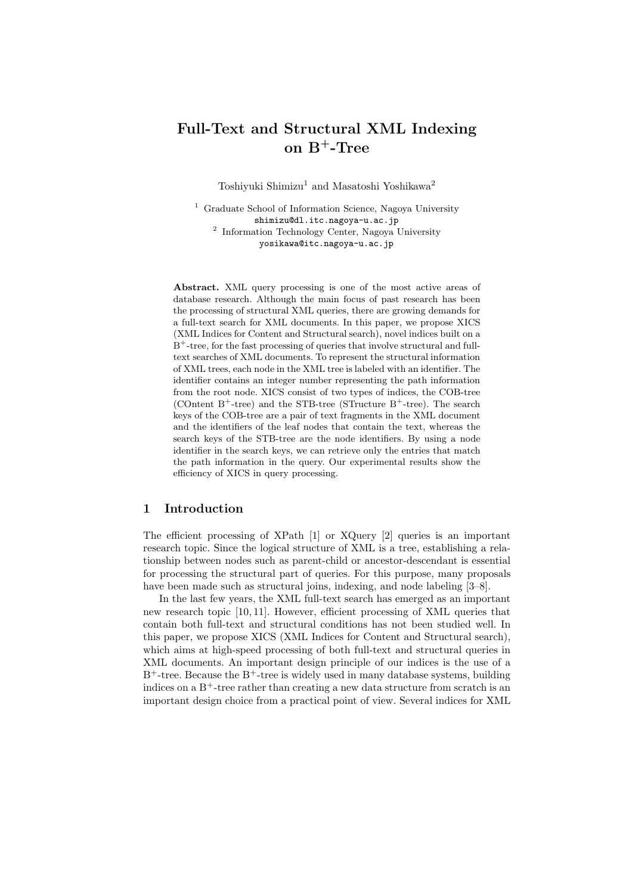# **Full-Text and Structural XML Indexing on B<sup>+</sup>-Tree**

Toshiyuki Shimizu<sup>1</sup> and Masatoshi Yoshikawa<sup>2</sup>

<sup>1</sup> Graduate School of Information Science, Nagoya University shimizu@dl.itc.nagoya-u.ac.jp <sup>2</sup> Information Technology Center, Nagoya University yosikawa@itc.nagoya-u.ac.jp

**Abstract.** XML query processing is one of the most active areas of database research. Although the main focus of past research has been the processing of structural XML queries, there are growing demands for a full-text search for XML documents. In this paper, we propose XICS (XML Indices for Content and Structural search), novel indices built on a  $B^+$ -tree, for the fast processing of queries that involve structural and fulltext searches of XML documents. To represent the structural information of XML trees, each node in the XML tree is labeled with an identifier. The identifier contains an integer number representing the path information from the root node. XICS consist of two types of indices, the COB-tree (COntent  $B^+$ -tree) and the STB-tree (STructure  $B^+$ -tree). The search keys of the COB-tree are a pair of text fragments in the XML document and the identifiers of the leaf nodes that contain the text, whereas the search keys of the STB-tree are the node identifiers. By using a node identifier in the search keys, we can retrieve only the entries that match the path information in the query. Our experimental results show the efficiency of XICS in query processing.

### **1 Introduction**

The efficient processing of XPath [1] or XQuery [2] queries is an important research topic. Since the logical structure of XML is a tree, establishing a relationship between nodes such as parent-child or ancestor-descendant is essential for processing the structural part of queries. For this purpose, many proposals have been made such as structural joins, indexing, and node labeling  $[3-8]$ .

In the last few years, the XML full-text search has emerged as an important new research topic [10, 11]. However, efficient processing of XML queries that contain both full-text and structural conditions has not been studied well. In this paper, we propose XICS (XML Indices for Content and Structural search), which aims at high-speed processing of both full-text and structural queries in XML documents. An important design principle of our indices is the use of a  $B^+$ -tree. Because the  $B^+$ -tree is widely used in many database systems, building indices on a  $B^+$ -tree rather than creating a new data structure from scratch is an important design choice from a practical point of view. Several indices for XML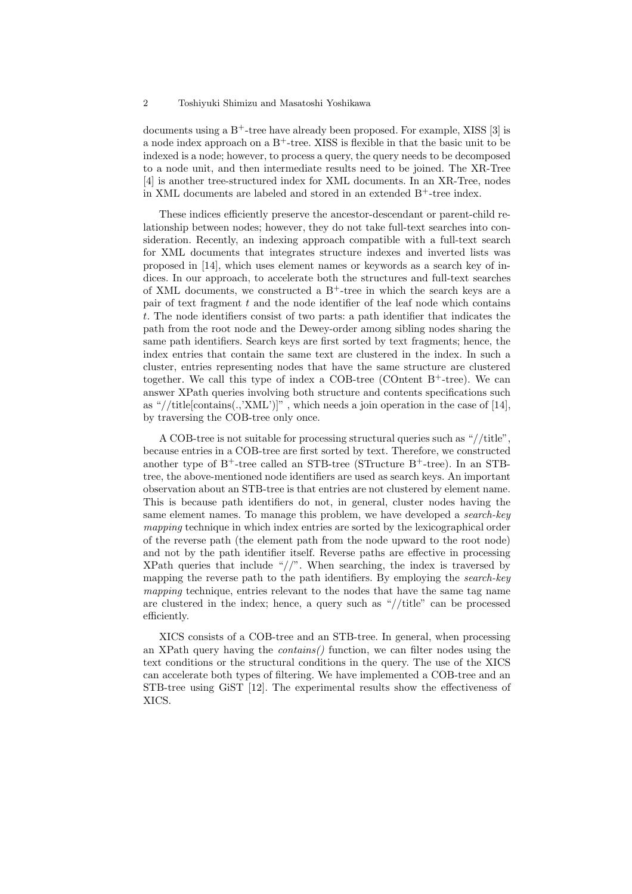### 2 Toshiyuki Shimizu and Masatoshi Yoshikawa

documents using a  $B^+$ -tree have already been proposed. For example, XISS [3] is a node index approach on a  $B^+$ -tree. XISS is flexible in that the basic unit to be indexed is a node; however, to process a query, the query needs to be decomposed to a node unit, and then intermediate results need to be joined. The XR-Tree [4] is another tree-structured index for XML documents. In an XR-Tree, nodes in XML documents are labeled and stored in an extended  $B^+$ -tree index.

These indices efficiently preserve the ancestor-descendant or parent-child relationship between nodes; however, they do not take full-text searches into consideration. Recently, an indexing approach compatible with a full-text search for XML documents that integrates structure indexes and inverted lists was proposed in [14], which uses element names or keywords as a search key of indices. In our approach, to accelerate both the structures and full-text searches of XML documents, we constructed a  $B^+$ -tree in which the search keys are a pair of text fragment *t* and the node identifier of the leaf node which contains *t*. The node identifiers consist of two parts: a path identifier that indicates the path from the root node and the Dewey-order among sibling nodes sharing the same path identifiers. Search keys are first sorted by text fragments; hence, the index entries that contain the same text are clustered in the index. In such a cluster, entries representing nodes that have the same structure are clustered together. We call this type of index a COB-tree (COntent  $B^+$ -tree). We can answer XPath queries involving both structure and contents specifications such as "//title[contains $(.; XML')$ ]", which needs a join operation in the case of [14], by traversing the COB-tree only once.

A COB-tree is not suitable for processing structural queries such as "//title", because entries in a COB-tree are first sorted by text. Therefore, we constructed another type of  $B^+$ -tree called an STB-tree (STructure  $B^+$ -tree). In an STBtree, the above-mentioned node identifiers are used as search keys. An important observation about an STB-tree is that entries are not clustered by element name. This is because path identifiers do not, in general, cluster nodes having the same element names. To manage this problem, we have developed a *search-key mapping* technique in which index entries are sorted by the lexicographical order of the reverse path (the element path from the node upward to the root node) and not by the path identifier itself. Reverse paths are effective in processing XPath queries that include " $\frac{1}{n}$ ". When searching, the index is traversed by mapping the reverse path to the path identifiers. By employing the *search-key mapping* technique, entries relevant to the nodes that have the same tag name are clustered in the index; hence, a query such as "//title" can be processed efficiently.

XICS consists of a COB-tree and an STB-tree. In general, when processing an XPath query having the *contains()* function, we can filter nodes using the text conditions or the structural conditions in the query. The use of the XICS can accelerate both types of filtering. We have implemented a COB-tree and an STB-tree using GiST [12]. The experimental results show the effectiveness of XICS.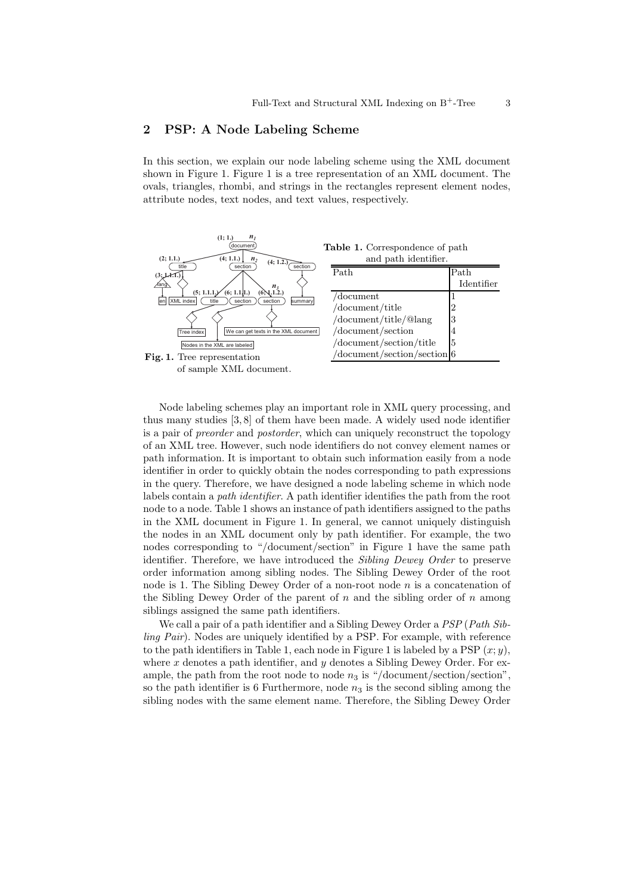### **2 PSP: A Node Labeling Scheme**

In this section, we explain our node labeling scheme using the XML document shown in Figure 1. Figure 1 is a tree representation of an XML document. The ovals, triangles, rhombi, and strings in the rectangles represent element nodes, attribute nodes, text nodes, and text values, respectively.



of sample XML document.

| <b>Table 1.</b> Correspondence of path |
|----------------------------------------|
| and path identifier.                   |

| and path racheller.         |            |  |  |  |  |
|-----------------------------|------------|--|--|--|--|
| Path                        | Path       |  |  |  |  |
|                             | Identifier |  |  |  |  |
| /document                   |            |  |  |  |  |
| /document/title             | 2          |  |  |  |  |
| /document/title/@lang       | 3          |  |  |  |  |
| /document/section           | 4          |  |  |  |  |
| /document/section/title     | 5          |  |  |  |  |
| /document/section/section 6 |            |  |  |  |  |

Node labeling schemes play an important role in XML query processing, and thus many studies [3, 8] of them have been made. A widely used node identifier is a pair of *preorder* and *postorder*, which can uniquely reconstruct the topology of an XML tree. However, such node identifiers do not convey element names or path information. It is important to obtain such information easily from a node identifier in order to quickly obtain the nodes corresponding to path expressions in the query. Therefore, we have designed a node labeling scheme in which node labels contain a *path identifier*. A path identifier identifies the path from the root node to a node. Table 1 shows an instance of path identifiers assigned to the paths in the XML document in Figure 1. In general, we cannot uniquely distinguish the nodes in an XML document only by path identifier. For example, the two nodes corresponding to "/document/section" in Figure 1 have the same path identifier. Therefore, we have introduced the *Sibling Dewey Order* to preserve order information among sibling nodes. The Sibling Dewey Order of the root node is 1. The Sibling Dewey Order of a non-root node *n* is a concatenation of the Sibling Dewey Order of the parent of *n* and the sibling order of *n* among siblings assigned the same path identifiers.

We call a pair of a path identifier and a Sibling Dewey Order a *PSP* (*Path Sibling Pair*). Nodes are uniquely identified by a PSP. For example, with reference to the path identifiers in Table 1, each node in Figure 1 is labeled by a PSP  $(x, y)$ , where *x* denotes a path identifier, and *y* denotes a Sibling Dewey Order. For example, the path from the root node to node  $n_3$  is "/document/section/section", so the path identifier is 6 Furthermore, node  $n_3$  is the second sibling among the sibling nodes with the same element name. Therefore, the Sibling Dewey Order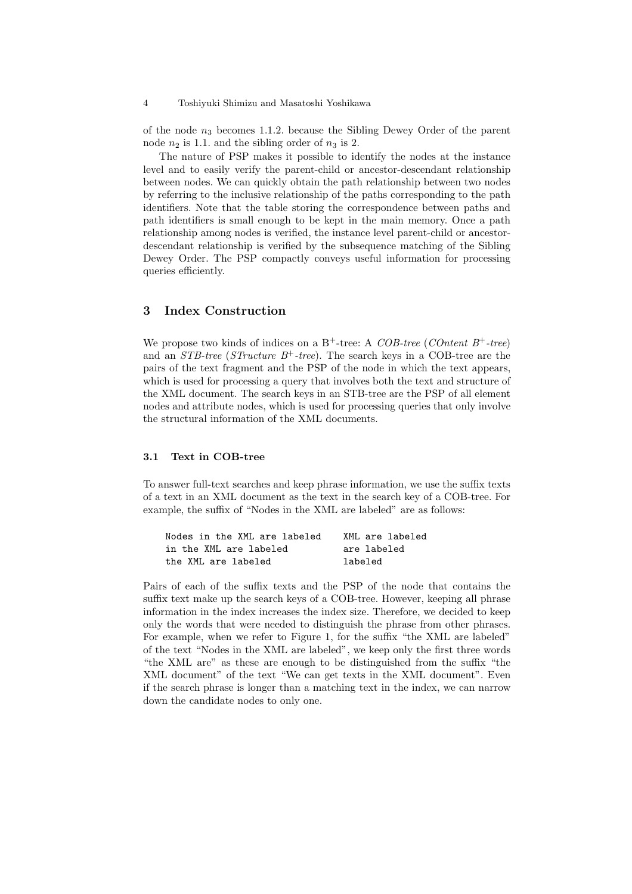#### 4 Toshiyuki Shimizu and Masatoshi Yoshikawa

of the node *n*<sup>3</sup> becomes 1.1.2. because the Sibling Dewey Order of the parent node  $n_2$  is 1.1. and the sibling order of  $n_3$  is 2.

The nature of PSP makes it possible to identify the nodes at the instance level and to easily verify the parent-child or ancestor-descendant relationship between nodes. We can quickly obtain the path relationship between two nodes by referring to the inclusive relationship of the paths corresponding to the path identifiers. Note that the table storing the correspondence between paths and path identifiers is small enough to be kept in the main memory. Once a path relationship among nodes is verified, the instance level parent-child or ancestordescendant relationship is verified by the subsequence matching of the Sibling Dewey Order. The PSP compactly conveys useful information for processing queries efficiently.

## **3 Index Construction**

We propose two kinds of indices on a B+-tree: A *COB-tree* (*COntent B*+*-tree*) and an *STB-tree* (*STructure B*<sup>+</sup>*-tree*). The search keys in a COB-tree are the pairs of the text fragment and the PSP of the node in which the text appears, which is used for processing a query that involves both the text and structure of the XML document. The search keys in an STB-tree are the PSP of all element nodes and attribute nodes, which is used for processing queries that only involve the structural information of the XML documents.

### **3.1 Text in COB-tree**

To answer full-text searches and keep phrase information, we use the suffix texts of a text in an XML document as the text in the search key of a COB-tree. For example, the suffix of "Nodes in the XML are labeled" are as follows:

| Nodes in the XML are labeled | XML are labeled |
|------------------------------|-----------------|
| in the XML are labeled       | are labeled     |
| the XML are labeled          | labeled         |

Pairs of each of the suffix texts and the PSP of the node that contains the suffix text make up the search keys of a COB-tree. However, keeping all phrase information in the index increases the index size. Therefore, we decided to keep only the words that were needed to distinguish the phrase from other phrases. For example, when we refer to Figure 1, for the suffix "the XML are labeled" of the text "Nodes in the XML are labeled", we keep only the first three words "the XML are" as these are enough to be distinguished from the suffix "the XML document" of the text "We can get texts in the XML document". Even if the search phrase is longer than a matching text in the index, we can narrow down the candidate nodes to only one.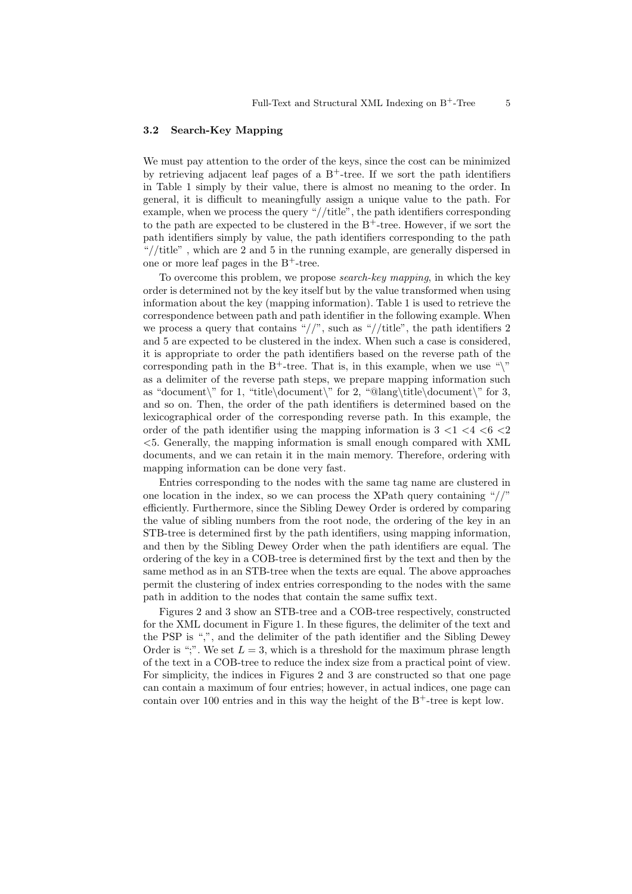#### **3.2 Search-Key Mapping**

We must pay attention to the order of the keys, since the cost can be minimized by retrieving adjacent leaf pages of a  $B^+$ -tree. If we sort the path identifiers in Table 1 simply by their value, there is almost no meaning to the order. In general, it is difficult to meaningfully assign a unique value to the path. For example, when we process the query "//title", the path identifiers corresponding to the path are expected to be clustered in the  $B^+$ -tree. However, if we sort the path identifiers simply by value, the path identifiers corresponding to the path "//title" , which are 2 and 5 in the running example, are generally dispersed in one or more leaf pages in the B+-tree.

To overcome this problem, we propose *search-key mapping*, in which the key order is determined not by the key itself but by the value transformed when using information about the key (mapping information). Table 1 is used to retrieve the correspondence between path and path identifier in the following example. When we process a query that contains " $\frac{1}{n}$ ", such as " $\frac{1}{\text{title}}$ ", the path identifiers 2 and 5 are expected to be clustered in the index. When such a case is considered, it is appropriate to order the path identifiers based on the reverse path of the corresponding path in the B<sup>+</sup>-tree. That is, in this example, when we use " $\rangle$ " as a delimiter of the reverse path steps, we prepare mapping information such as "document*\*" for 1, "title*\*document*\*" for 2, "@lang*\*title*\*document*\*" for 3, and so on. Then, the order of the path identifiers is determined based on the lexicographical order of the corresponding reverse path. In this example, the order of the path identifier using the mapping information is 3 *<*1 *<*4 *<*6 *<*2 *<*5. Generally, the mapping information is small enough compared with XML documents, and we can retain it in the main memory. Therefore, ordering with mapping information can be done very fast.

Entries corresponding to the nodes with the same tag name are clustered in one location in the index, so we can process the XPath query containing "//" efficiently. Furthermore, since the Sibling Dewey Order is ordered by comparing the value of sibling numbers from the root node, the ordering of the key in an STB-tree is determined first by the path identifiers, using mapping information, and then by the Sibling Dewey Order when the path identifiers are equal. The ordering of the key in a COB-tree is determined first by the text and then by the same method as in an STB-tree when the texts are equal. The above approaches permit the clustering of index entries corresponding to the nodes with the same path in addition to the nodes that contain the same suffix text.

Figures 2 and 3 show an STB-tree and a COB-tree respectively, constructed for the XML document in Figure 1. In these figures, the delimiter of the text and the PSP is ",", and the delimiter of the path identifier and the Sibling Dewey Order is ";". We set  $L = 3$ , which is a threshold for the maximum phrase length of the text in a COB-tree to reduce the index size from a practical point of view. For simplicity, the indices in Figures 2 and 3 are constructed so that one page can contain a maximum of four entries; however, in actual indices, one page can contain over 100 entries and in this way the height of the  $B^+$ -tree is kept low.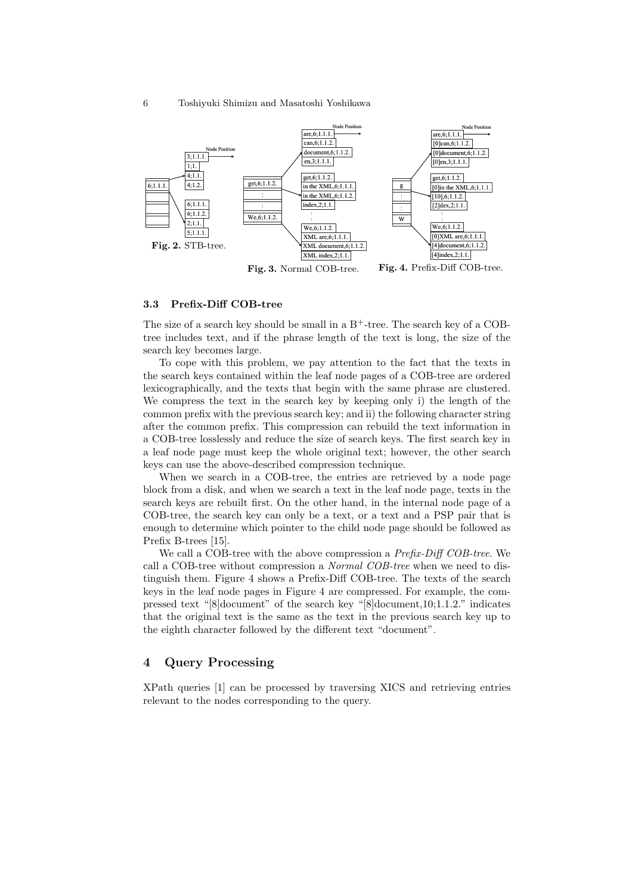

### **3.3 Prefix-Diff COB-tree**

The size of a search key should be small in a  $B^+$ -tree. The search key of a COBtree includes text, and if the phrase length of the text is long, the size of the search key becomes large.

To cope with this problem, we pay attention to the fact that the texts in the search keys contained within the leaf node pages of a COB-tree are ordered lexicographically, and the texts that begin with the same phrase are clustered. We compress the text in the search key by keeping only i) the length of the common prefix with the previous search key; and ii) the following character string after the common prefix. This compression can rebuild the text information in a COB-tree losslessly and reduce the size of search keys. The first search key in a leaf node page must keep the whole original text; however, the other search keys can use the above-described compression technique.

When we search in a COB-tree, the entries are retrieved by a node page block from a disk, and when we search a text in the leaf node page, texts in the search keys are rebuilt first. On the other hand, in the internal node page of a COB-tree, the search key can only be a text, or a text and a PSP pair that is enough to determine which pointer to the child node page should be followed as Prefix B-trees [15].

We call a COB-tree with the above compression a *Prefix-Diff COB-tree*. We call a COB-tree without compression a *Normal COB-tree* when we need to distinguish them. Figure 4 shows a Prefix-Diff COB-tree. The texts of the search keys in the leaf node pages in Figure 4 are compressed. For example, the compressed text "[8]document" of the search key "[8]document,10;1.1.2." indicates that the original text is the same as the text in the previous search key up to the eighth character followed by the different text "document".

### **4 Query Processing**

XPath queries [1] can be processed by traversing XICS and retrieving entries relevant to the nodes corresponding to the query.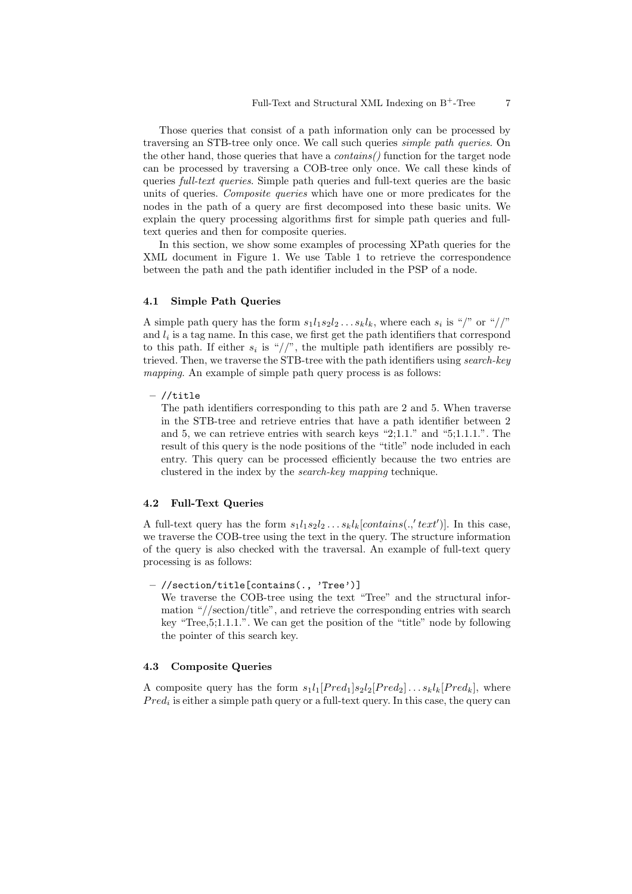Those queries that consist of a path information only can be processed by traversing an STB-tree only once. We call such queries *simple path queries*. On the other hand, those queries that have a *contains()* function for the target node can be processed by traversing a COB-tree only once. We call these kinds of queries *full-text queries*. Simple path queries and full-text queries are the basic units of queries. *Composite queries* which have one or more predicates for the nodes in the path of a query are first decomposed into these basic units. We explain the query processing algorithms first for simple path queries and fulltext queries and then for composite queries.

In this section, we show some examples of processing XPath queries for the XML document in Figure 1. We use Table 1 to retrieve the correspondence between the path and the path identifier included in the PSP of a node.

### **4.1 Simple Path Queries**

A simple path query has the form  $s_1l_1s_2l_2...s_kl_k$ , where each  $s_i$  is "/" or "//" and  $l_i$  is a tag name. In this case, we first get the path identifiers that correspond to this path. If either  $s_i$  is "//", the multiple path identifiers are possibly retrieved. Then, we traverse the STB-tree with the path identifiers using *search-key mapping*. An example of simple path query process is as follows:

**–** //title

The path identifiers corresponding to this path are 2 and 5. When traverse in the STB-tree and retrieve entries that have a path identifier between 2 and 5, we can retrieve entries with search keys "2;1.1." and "5;1.1.1.". The result of this query is the node positions of the "title" node included in each entry. This query can be processed efficiently because the two entries are clustered in the index by the *search-key mapping* technique.

#### **4.2 Full-Text Queries**

A full-text query has the form  $s_1l_1s_2l_2...s_kl_k[contains(., 'text')].$  In this case, we traverse the COB-tree using the text in the query. The structure information of the query is also checked with the traversal. An example of full-text query processing is as follows:

```
– //section/title[contains(., 'Tree')]
```
We traverse the COB-tree using the text "Tree" and the structural information "//section/title", and retrieve the corresponding entries with search key "Tree,5;1.1.1.". We can get the position of the "title" node by following the pointer of this search key.

### **4.3 Composite Queries**

A composite query has the form  $s_1l_1[Pred_1]s_2l_2[Pred_2] \ldots s_kl_k[Pred_k]$ , where *P red<sup>i</sup>* is either a simple path query or a full-text query. In this case, the query can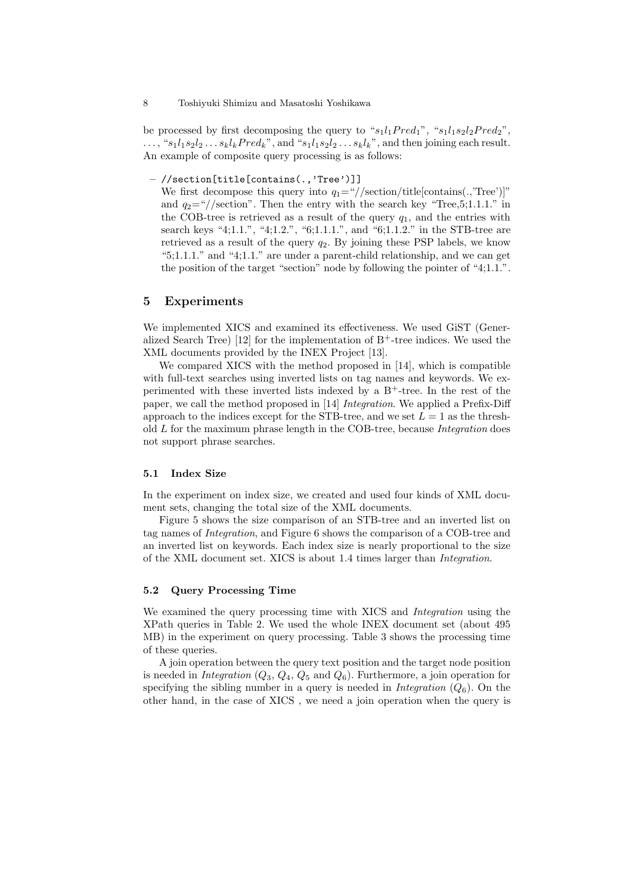be processed by first decomposing the query to " $s_1l_1Pred_1$ ", " $s_1l_1s_2l_2Pred_2$ ",  $\dots$ , " $s_1l_1s_2l_2\dots s_kl_kPred_k$ ", and " $s_1l_1s_2l_2\dots s_kl_k$ ", and then joining each result. An example of composite query processing is as follows:

**–** //section[title[contains(.,'Tree')]]

We first decompose this query into  $q_1 = \frac{u}{s}$  section/title [contains(., Tree')]" and  $q_2 = \frac{\pi}{3}$  section". Then the entry with the search key "Tree, 5;1.1.1." in the COB-tree is retrieved as a result of the query  $q_1$ , and the entries with search keys "4;1.1.", "4;1.2.", "6;1.1.1.", and "6;1.1.2." in the STB-tree are retrieved as a result of the query *q*2. By joining these PSP labels, we know "5;1.1.1." and "4;1.1." are under a parent-child relationship, and we can get the position of the target "section" node by following the pointer of "4;1.1.".

### **5 Experiments**

We implemented XICS and examined its effectiveness. We used GiST (Generalized Search Tree) [12] for the implementation of  $B^+$ -tree indices. We used the XML documents provided by the INEX Project [13].

We compared XICS with the method proposed in [14], which is compatible with full-text searches using inverted lists on tag names and keywords. We experimented with these inverted lists indexed by a  $B^+$ -tree. In the rest of the paper, we call the method proposed in [14] *Integration*. We applied a Prefix-Diff approach to the indices except for the STB-tree, and we set  $L = 1$  as the threshold *L* for the maximum phrase length in the COB-tree, because *Integration* does not support phrase searches.

#### **5.1 Index Size**

In the experiment on index size, we created and used four kinds of XML document sets, changing the total size of the XML documents.

Figure 5 shows the size comparison of an STB-tree and an inverted list on tag names of *Integration*, and Figure 6 shows the comparison of a COB-tree and an inverted list on keywords. Each index size is nearly proportional to the size of the XML document set. XICS is about 1.4 times larger than *Integration*.

### **5.2 Query Processing Time**

We examined the query processing time with XICS and *Integration* using the XPath queries in Table 2. We used the whole INEX document set (about 495 MB) in the experiment on query processing. Table 3 shows the processing time of these queries.

A join operation between the query text position and the target node position is needed in *Integration* (*Q*3, *Q*4, *Q*<sup>5</sup> and *Q*6). Furthermore, a join operation for specifying the sibling number in a query is needed in *Integration*  $(Q_6)$ . On the other hand, in the case of XICS , we need a join operation when the query is

<sup>8</sup> Toshiyuki Shimizu and Masatoshi Yoshikawa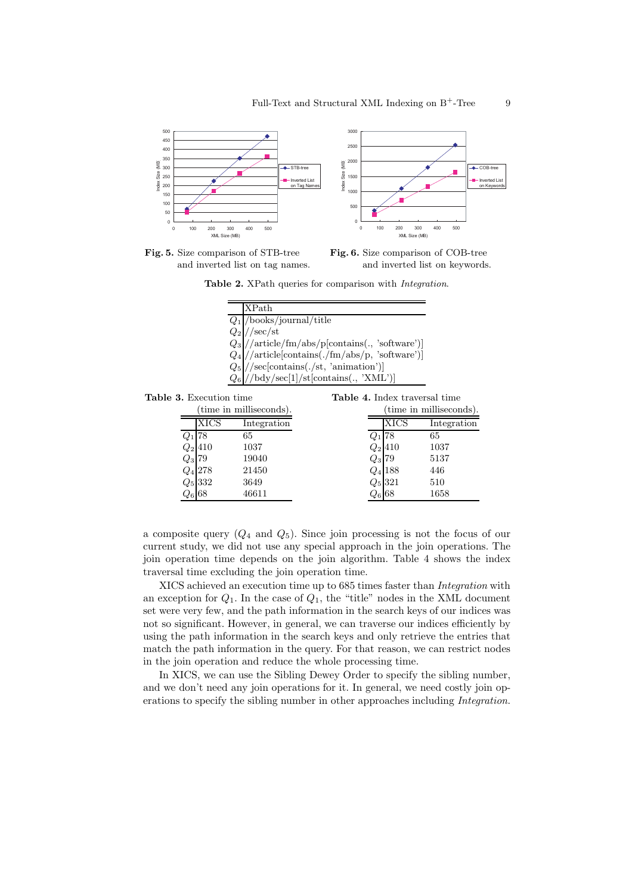

**Fig. 5.** Size comparison of STB-tree and inverted list on tag names.

**Fig. 6.** Size comparison of COB-tree and inverted list on keywords.

**Table 2.** XPath queries for comparison with *Integration*.

| <b>XPath</b>                                                                                                                                                                                                                                                                                                                                                                                                                                                                    |
|---------------------------------------------------------------------------------------------------------------------------------------------------------------------------------------------------------------------------------------------------------------------------------------------------------------------------------------------------------------------------------------------------------------------------------------------------------------------------------|
| $Q_1$ /books/journal/title                                                                                                                                                                                                                                                                                                                                                                                                                                                      |
| $Q_2$ //sec/st                                                                                                                                                                                                                                                                                                                                                                                                                                                                  |
|                                                                                                                                                                                                                                                                                                                                                                                                                                                                                 |
|                                                                                                                                                                                                                                                                                                                                                                                                                                                                                 |
|                                                                                                                                                                                                                                                                                                                                                                                                                                                                                 |
| $\begin{array}{l} Q_3 \end{array} \hspace{-1mm} \begin{array}{l} \hspace{-1.5mm} \textit{Q}_3 \end{array} \hspace{-1mm} \begin{array}{l} \hspace{-1.5mm} \textit{/} \hspace{-1.5mm} \textit{particle}/\hspace{-1.5mm} \textit{fm/abs/p} \text{[contains(., 'software')]} \\ Q_4 \end{array} \hspace{-1mm} \begin{array}{l} \hspace{-1.5mm} \textit{Q}_4 \end{array} \hspace{-1mm} \begin{array}{l} \hspace{-1.5mm} \textit{/} \hspace{-1.5mm} \textit{sec} \text{[contains(.,f$ |

| <b>Table 3.</b> Execution time |                         |             | <b>Table 4.</b> Index traversal time |             |  |
|--------------------------------|-------------------------|-------------|--------------------------------------|-------------|--|
|                                | (time in milliseconds). |             | (time in milliseconds).              |             |  |
|                                | <b>XICS</b>             | Integration | <b>XICS</b>                          | Integration |  |
|                                | $Q_1$  78               | 65          | 78                                   | 65          |  |
|                                | $Q_2$ 410               | 1037        | 410                                  | 1037        |  |
|                                | $Q_3$ 79                | 19040       | $Q_3$ 79                             | 5137        |  |
|                                | $Q_4$ 278               | 21450       | . 188                                | 446         |  |
|                                | $Q_5$ 332               | 3649        | $Q_5$  321                           | 510         |  |
|                                | $Q_6$ 68                | 46611       | $Q_6$ 68                             | 1658        |  |

a composite query (*Q*<sup>4</sup> and *Q*5). Since join processing is not the focus of our current study, we did not use any special approach in the join operations. The join operation time depends on the join algorithm. Table 4 shows the index traversal time excluding the join operation time.

XICS achieved an execution time up to 685 times faster than *Integration* with an exception for  $Q_1$ . In the case of  $Q_1$ , the "title" nodes in the XML document set were very few, and the path information in the search keys of our indices was not so significant. However, in general, we can traverse our indices efficiently by using the path information in the search keys and only retrieve the entries that match the path information in the query. For that reason, we can restrict nodes in the join operation and reduce the whole processing time.

In XICS, we can use the Sibling Dewey Order to specify the sibling number, and we don't need any join operations for it. In general, we need costly join operations to specify the sibling number in other approaches including *Integration*.